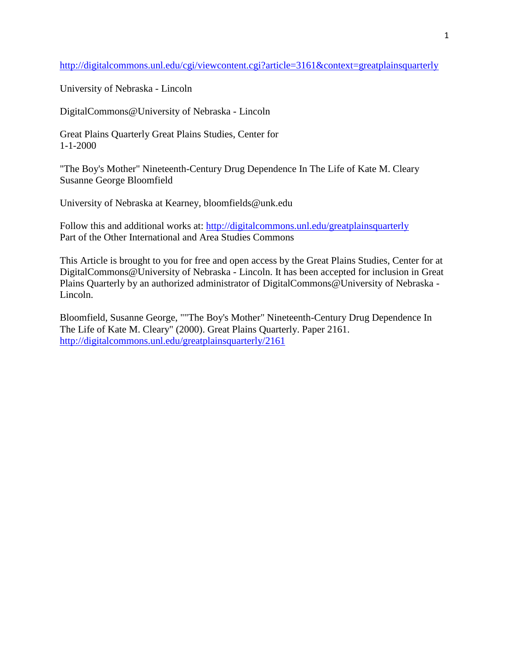<http://digitalcommons.unl.edu/cgi/viewcontent.cgi?article=3161&context=greatplainsquarterly>

University of Nebraska - Lincoln

DigitalCommons@University of Nebraska - Lincoln

Great Plains Quarterly Great Plains Studies, Center for 1-1-2000

"The Boy's Mother" Nineteenth-Century Drug Dependence In The Life of Kate M. Cleary Susanne George Bloomfield

University of Nebraska at Kearney, bloomfields@unk.edu

Follow this and additional works at:<http://digitalcommons.unl.edu/greatplainsquarterly> Part of the Other International and Area Studies Commons

This Article is brought to you for free and open access by the Great Plains Studies, Center for at DigitalCommons@University of Nebraska - Lincoln. It has been accepted for inclusion in Great Plains Quarterly by an authorized administrator of DigitalCommons@University of Nebraska - Lincoln.

Bloomfield, Susanne George, ""The Boy's Mother" Nineteenth-Century Drug Dependence In The Life of Kate M. Cleary" (2000). Great Plains Quarterly. Paper 2161. <http://digitalcommons.unl.edu/greatplainsquarterly/2161>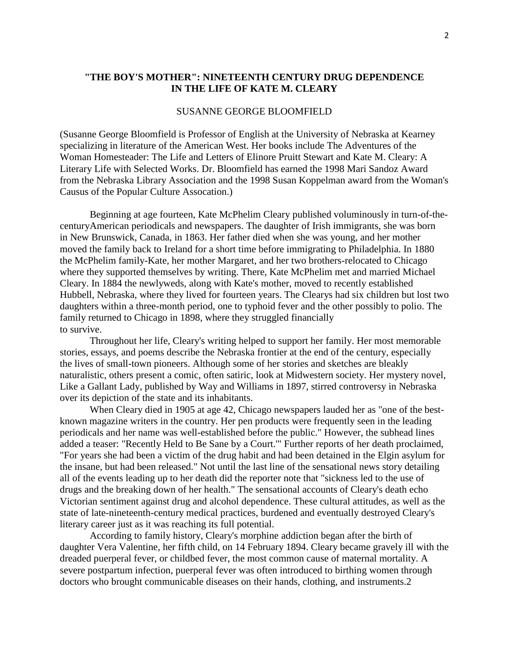## **"THE BOY'S MOTHER": NINETEENTH CENTURY DRUG DEPENDENCE IN THE LIFE OF KATE M. CLEARY**

## SUSANNE GEORGE BLOOMFIELD

(Susanne George Bloomfield is Professor of English at the University of Nebraska at Kearney specializing in literature of the American West. Her books include The Adventures of the Woman Homesteader: The Life and Letters of Elinore Pruitt Stewart and Kate M. Cleary: A Literary Life with Selected Works. Dr. Bloomfield has earned the 1998 Mari Sandoz Award from the Nebraska Library Association and the 1998 Susan Koppelman award from the Woman's Causus of the Popular Culture Assocation.)

Beginning at age fourteen, Kate McPhelim Cleary published voluminously in turn-of-thecenturyAmerican periodicals and newspapers. The daughter of Irish immigrants, she was born in New Brunswick, Canada, in 1863. Her father died when she was young, and her mother moved the family back to Ireland for a short time before immigrating to Philadelphia. In 1880 the McPhelim family-Kate, her mother Margaret, and her two brothers-relocated to Chicago where they supported themselves by writing. There, Kate McPhelim met and married Michael Cleary. In 1884 the newlyweds, along with Kate's mother, moved to recently established Hubbell, Nebraska, where they lived for fourteen years. The Clearys had six children but lost two daughters within a three-month period, one to typhoid fever and the other possibly to polio. The family returned to Chicago in 1898, where they struggled financially to survive.

Throughout her life, Cleary's writing helped to support her family. Her most memorable stories, essays, and poems describe the Nebraska frontier at the end of the century, especially the lives of small-town pioneers. Although some of her stories and sketches are bleakly naturalistic, others present a comic, often satiric, look at Midwestern society. Her mystery novel, Like a Gallant Lady, published by Way and Williams in 1897, stirred controversy in Nebraska over its depiction of the state and its inhabitants.

When Cleary died in 1905 at age 42, Chicago newspapers lauded her as "one of the bestknown magazine writers in the country. Her pen products were frequently seen in the leading periodicals and her name was well-established before the public." However, the subhead lines added a teaser: "Recently Held to Be Sane by a Court.'" Further reports of her death proclaimed, "For years she had been a victim of the drug habit and had been detained in the Elgin asylum for the insane, but had been released." Not until the last line of the sensational news story detailing all of the events leading up to her death did the reporter note that "sickness led to the use of drugs and the breaking down of her health." The sensational accounts of Cleary's death echo Victorian sentiment against drug and alcohol dependence. These cultural attitudes, as well as the state of late-nineteenth-century medical practices, burdened and eventually destroyed Cleary's literary career just as it was reaching its full potential.

According to family history, Cleary's morphine addiction began after the birth of daughter Vera Valentine, her fifth child, on 14 February 1894. Cleary became gravely ill with the dreaded puerperal fever, or childbed fever, the most common cause of maternal mortality. A severe postpartum infection, puerperal fever was often introduced to birthing women through doctors who brought communicable diseases on their hands, clothing, and instruments.2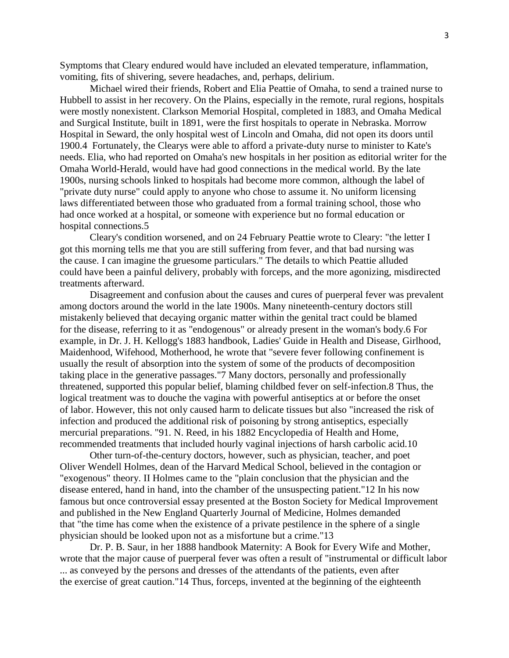Symptoms that Cleary endured would have included an elevated temperature, inflammation, vomiting, fits of shivering, severe headaches, and, perhaps, delirium.

Michael wired their friends, Robert and Elia Peattie of Omaha, to send a trained nurse to Hubbell to assist in her recovery. On the Plains, especially in the remote, rural regions, hospitals were mostly nonexistent. Clarkson Memorial Hospital, completed in 1883, and Omaha Medical and Surgical Institute, built in 1891, were the first hospitals to operate in Nebraska. Morrow Hospital in Seward, the only hospital west of Lincoln and Omaha, did not open its doors until 1900.4 Fortunately, the Clearys were able to afford a private-duty nurse to minister to Kate's needs. Elia, who had reported on Omaha's new hospitals in her position as editorial writer for the Omaha World-Herald, would have had good connections in the medical world. By the late 1900s, nursing schools linked to hospitals had become more common, although the label of "private duty nurse" could apply to anyone who chose to assume it. No uniform licensing laws differentiated between those who graduated from a formal training school, those who had once worked at a hospital, or someone with experience but no formal education or hospital connections.5

Cleary's condition worsened, and on 24 February Peattie wrote to Cleary: "the letter I got this morning tells me that you are still suffering from fever, and that bad nursing was the cause. I can imagine the gruesome particulars." The details to which Peattie alluded could have been a painful delivery, probably with forceps, and the more agonizing, misdirected treatments afterward.

Disagreement and confusion about the causes and cures of puerperal fever was prevalent among doctors around the world in the late 1900s. Many nineteenth-century doctors still mistakenly believed that decaying organic matter within the genital tract could be blamed for the disease, referring to it as "endogenous" or already present in the woman's body.6 For example, in Dr. J. H. Kellogg's 1883 handbook, Ladies' Guide in Health and Disease, Girlhood, Maidenhood, Wifehood, Motherhood, he wrote that "severe fever following confinement is usually the result of absorption into the system of some of the products of decomposition taking place in the generative passages."7 Many doctors, personally and professionally threatened, supported this popular belief, blaming childbed fever on self-infection.8 Thus, the logical treatment was to douche the vagina with powerful antiseptics at or before the onset of labor. However, this not only caused harm to delicate tissues but also "increased the risk of infection and produced the additional risk of poisoning by strong antiseptics, especially mercurial preparations. "91. N. Reed, in his 1882 Encyclopedia of Health and Home, recommended treatments that included hourly vaginal injections of harsh carbolic acid.10

Other turn-of-the-century doctors, however, such as physician, teacher, and poet Oliver Wendell Holmes, dean of the Harvard Medical School, believed in the contagion or "exogenous" theory. II Holmes came to the "plain conclusion that the physician and the disease entered, hand in hand, into the chamber of the unsuspecting patient."12 In his now famous but once controversial essay presented at the Boston Society for Medical Improvement and published in the New England Quarterly Journal of Medicine, Holmes demanded that "the time has come when the existence of a private pestilence in the sphere of a single physician should be looked upon not as a misfortune but a crime."13

Dr. P. B. Saur, in her 1888 handbook Maternity: A Book for Every Wife and Mother, wrote that the major cause of puerperal fever was often a result of "instrumental or difficult labor ... as conveyed by the persons and dresses of the attendants of the patients, even after the exercise of great caution."14 Thus, forceps, invented at the beginning of the eighteenth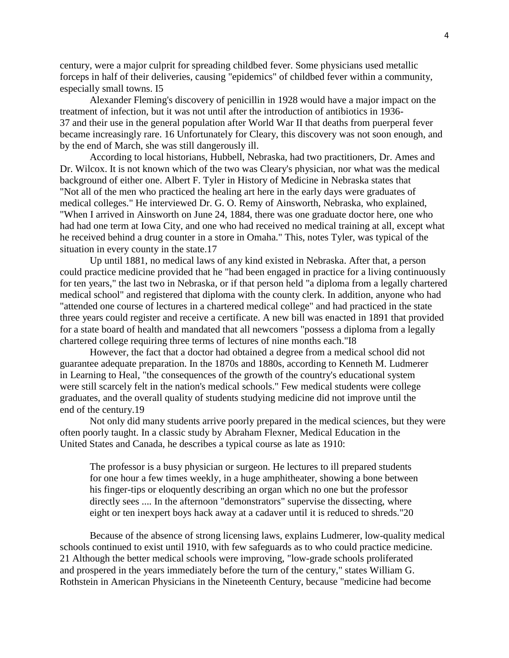century, were a major culprit for spreading childbed fever. Some physicians used metallic forceps in half of their deliveries, causing "epidemics" of childbed fever within a community, especially small towns. I5

Alexander Fleming's discovery of penicillin in 1928 would have a major impact on the treatment of infection, but it was not until after the introduction of antibiotics in 1936- 37 and their use in the general population after World War II that deaths from puerperal fever became increasingly rare. 16 Unfortunately for Cleary, this discovery was not soon enough, and by the end of March, she was still dangerously ill.

According to local historians, Hubbell, Nebraska, had two practitioners, Dr. Ames and Dr. Wilcox. It is not known which of the two was Cleary's physician, nor what was the medical background of either one. Albert F. Tyler in History of Medicine in Nebraska states that "Not all of the men who practiced the healing art here in the early days were graduates of medical colleges." He interviewed Dr. G. O. Remy of Ainsworth, Nebraska, who explained, "When I arrived in Ainsworth on June 24, 1884, there was one graduate doctor here, one who had had one term at Iowa City, and one who had received no medical training at all, except what he received behind a drug counter in a store in Omaha." This, notes Tyler, was typical of the situation in every county in the state.17

Up until 1881, no medical laws of any kind existed in Nebraska. After that, a person could practice medicine provided that he "had been engaged in practice for a living continuously for ten years," the last two in Nebraska, or if that person held "a diploma from a legally chartered medical school" and registered that diploma with the county clerk. In addition, anyone who had "attended one course of lectures in a chartered medical college" and had practiced in the state three years could register and receive a certificate. A new bill was enacted in 1891 that provided for a state board of health and mandated that all newcomers "possess a diploma from a legally chartered college requiring three terms of lectures of nine months each."I8

However, the fact that a doctor had obtained a degree from a medical school did not guarantee adequate preparation. In the 1870s and 1880s, according to Kenneth M. Ludmerer in Learning to Heal, "the consequences of the growth of the country's educational system were still scarcely felt in the nation's medical schools." Few medical students were college graduates, and the overall quality of students studying medicine did not improve until the end of the century.19

Not only did many students arrive poorly prepared in the medical sciences, but they were often poorly taught. In a classic study by Abraham Flexner, Medical Education in the United States and Canada, he describes a typical course as late as 1910:

The professor is a busy physician or surgeon. He lectures to ill prepared students for one hour a few times weekly, in a huge amphitheater, showing a bone between his finger-tips or eloquently describing an organ which no one but the professor directly sees .... In the afternoon "demonstrators" supervise the dissecting, where eight or ten inexpert boys hack away at a cadaver until it is reduced to shreds."20

Because of the absence of strong licensing laws, explains Ludmerer, low-quality medical schools continued to exist until 1910, with few safeguards as to who could practice medicine. 21 Although the better medical schools were improving, "low-grade schools proliferated and prospered in the years immediately before the turn of the century," states William G. Rothstein in American Physicians in the Nineteenth Century, because "medicine had become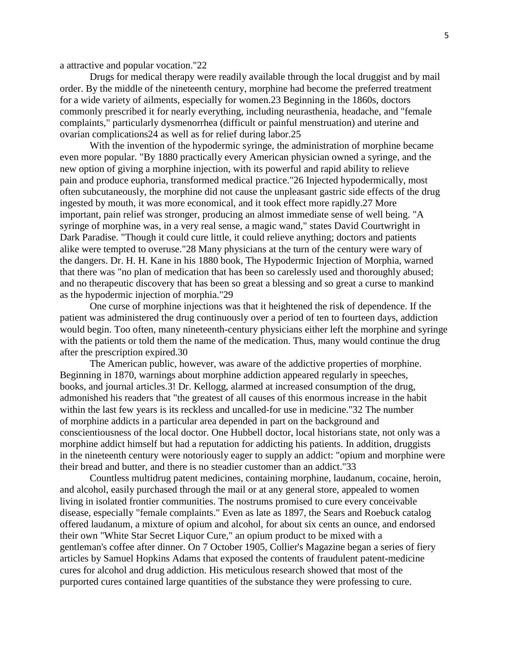a attractive and popular vocation."22

Drugs for medical therapy were readily available through the local druggist and by mail order. By the middle of the nineteenth century, morphine had become the preferred treatment for a wide variety of ailments, especially for women.23 Beginning in the 1860s, doctors commonly prescribed it for nearly everything, including neurasthenia, headache, and "female complaints," particularly dysmenorrhea (difficult or painful menstruation) and uterine and ovarian complications24 as well as for relief during labor.25

With the invention of the hypodermic syringe, the administration of morphine became even more popular. "By 1880 practically every American physician owned a syringe, and the new option of giving a morphine injection, with its powerful and rapid ability to relieve pain and produce euphoria, transformed medical practice."26 Injected hypodermically, most often subcutaneously, the morphine did not cause the unpleasant gastric side effects of the drug ingested by mouth, it was more economical, and it took effect more rapidly.27 More important, pain relief was stronger, producing an almost immediate sense of well being. "A syringe of morphine was, in a very real sense, a magic wand," states David Courtwright in Dark Paradise. "Though it could cure little, it could relieve anything; doctors and patients alike were tempted to overuse."28 Many physicians at the turn of the century were wary of the dangers. Dr. H. H. Kane in his 1880 book, The Hypodermic Injection of Morphia, warned that there was "no plan of medication that has been so carelessly used and thoroughly abused; and no therapeutic discovery that has been so great a blessing and so great a curse to mankind as the hypodermic injection of morphia."29

One curse of morphine injections was that it heightened the risk of dependence. If the patient was administered the drug continuously over a period of ten to fourteen days, addiction would begin. Too often, many nineteenth-century physicians either left the morphine and syringe with the patients or told them the name of the medication. Thus, many would continue the drug after the prescription expired.30

The American public, however, was aware of the addictive properties of morphine. Beginning in 1870, warnings about morphine addiction appeared regularly in speeches, books, and journal articles.3! Dr. Kellogg, alarmed at increased consumption of the drug, admonished his readers that "the greatest of all causes of this enormous increase in the habit within the last few years is its reckless and uncalled-for use in medicine."32 The number of morphine addicts in a particular area depended in part on the background and conscientiousness of the local doctor. One Hubbell doctor, local historians state, not only was a morphine addict himself but had a reputation for addicting his patients. In addition, druggists in the nineteenth century were notoriously eager to supply an addict: "opium and morphine were their bread and butter, and there is no steadier customer than an addict."33

Countless multidrug patent medicines, containing morphine, laudanum, cocaine, heroin, and alcohol, easily purchased through the mail or at any general store, appealed to women living in isolated frontier communities. The nostrums promised to cure every conceivable disease, especially "female complaints." Even as late as 1897, the Sears and Roebuck catalog offered laudanum, a mixture of opium and alcohol, for about six cents an ounce, and endorsed their own "White Star Secret Liquor Cure," an opium product to be mixed with a gentleman's coffee after dinner. On 7 October 1905, Collier's Magazine began a series of fiery articles by Samuel Hopkins Adams that exposed the contents of fraudulent patent-medicine cures for alcohol and drug addiction. His meticulous research showed that most of the purported cures contained large quantities of the substance they were professing to cure.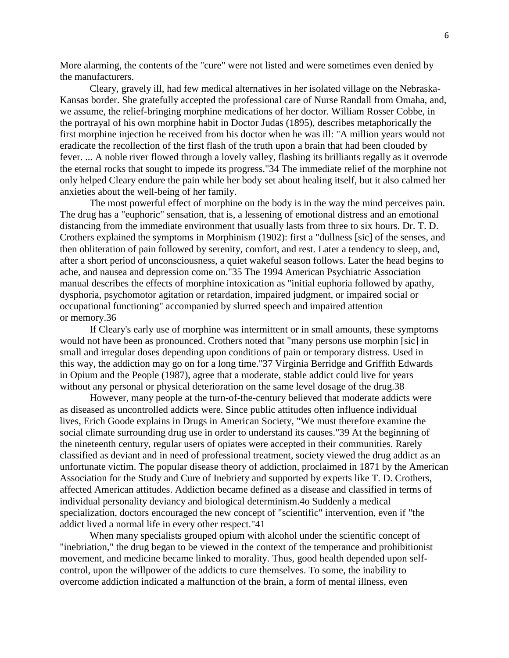More alarming, the contents of the "cure" were not listed and were sometimes even denied by the manufacturers.

Cleary, gravely ill, had few medical alternatives in her isolated village on the Nebraska-Kansas border. She gratefully accepted the professional care of Nurse Randall from Omaha, and, we assume, the relief-bringing morphine medications of her doctor. William Rosser Cobbe, in the portrayal of his own morphine habit in Doctor Judas (1895), describes metaphorically the first morphine injection he received from his doctor when he was ill: "A million years would not eradicate the recollection of the first flash of the truth upon a brain that had been clouded by fever. ... A noble river flowed through a lovely valley, flashing its brilliants regally as it overrode the eternal rocks that sought to impede its progress."34 The immediate relief of the morphine not only helped Cleary endure the pain while her body set about healing itself, but it also calmed her anxieties about the well-being of her family.

The most powerful effect of morphine on the body is in the way the mind perceives pain. The drug has a "euphoric" sensation, that is, a lessening of emotional distress and an emotional distancing from the immediate environment that usually lasts from three to six hours. Dr. T. D. Crothers explained the symptoms in Morphinism (1902): first a "dullness [sic] of the senses, and then obliteration of pain followed by serenity, comfort, and rest. Later a tendency to sleep, and, after a short period of unconsciousness, a quiet wakeful season follows. Later the head begins to ache, and nausea and depression come on."35 The 1994 American Psychiatric Association manual describes the effects of morphine intoxication as "initial euphoria followed by apathy, dysphoria, psychomotor agitation or retardation, impaired judgment, or impaired social or occupational functioning" accompanied by slurred speech and impaired attention or memory.36

If Cleary's early use of morphine was intermittent or in small amounts, these symptoms would not have been as pronounced. Crothers noted that "many persons use morphin [sic] in small and irregular doses depending upon conditions of pain or temporary distress. Used in this way, the addiction may go on for a long time."37 Virginia Berridge and Griffith Edwards in Opium and the People (1987), agree that a moderate, stable addict could live for years without any personal or physical deterioration on the same level dosage of the drug.38

However, many people at the turn-of-the-century believed that moderate addicts were as diseased as uncontrolled addicts were. Since public attitudes often influence individual lives, Erich Goode explains in Drugs in American Society, "We must therefore examine the social climate surrounding drug use in order to understand its causes."39 At the beginning of the nineteenth century, regular users of opiates were accepted in their communities. Rarely classified as deviant and in need of professional treatment, society viewed the drug addict as an unfortunate victim. The popular disease theory of addiction, proclaimed in 1871 by the American Association for the Study and Cure of Inebriety and supported by experts like T. D. Crothers, affected American attitudes. Addiction became defined as a disease and classified in terms of individual personality deviancy and biological determinism.4o Suddenly a medical specialization, doctors encouraged the new concept of "scientific" intervention, even if "the addict lived a normal life in every other respect."41

When many specialists grouped opium with alcohol under the scientific concept of "inebriation," the drug began to be viewed in the context of the temperance and prohibitionist movement, and medicine became linked to morality. Thus, good health depended upon selfcontrol, upon the willpower of the addicts to cure themselves. To some, the inability to overcome addiction indicated a malfunction of the brain, a form of mental illness, even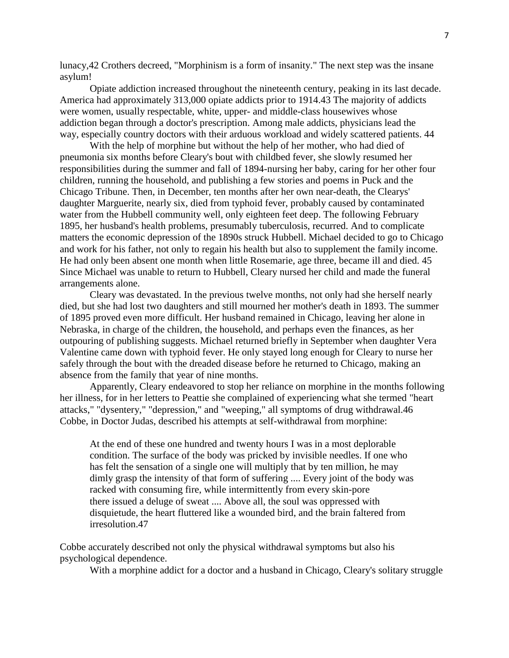lunacy,42 Crothers decreed, "Morphinism is a form of insanity." The next step was the insane asylum!

Opiate addiction increased throughout the nineteenth century, peaking in its last decade. America had approximately 313,000 opiate addicts prior to 1914.43 The majority of addicts were women, usually respectable, white, upper- and middle-class housewives whose addiction began through a doctor's prescription. Among male addicts, physicians lead the way, especially country doctors with their arduous workload and widely scattered patients. 44

With the help of morphine but without the help of her mother, who had died of pneumonia six months before Cleary's bout with childbed fever, she slowly resumed her responsibilities during the summer and fall of 1894-nursing her baby, caring for her other four children, running the household, and publishing a few stories and poems in Puck and the Chicago Tribune. Then, in December, ten months after her own near-death, the Clearys' daughter Marguerite, nearly six, died from typhoid fever, probably caused by contaminated water from the Hubbell community well, only eighteen feet deep. The following February 1895, her husband's health problems, presumably tuberculosis, recurred. And to complicate matters the economic depression of the 1890s struck Hubbell. Michael decided to go to Chicago and work for his father, not only to regain his health but also to supplement the family income. He had only been absent one month when little Rosemarie, age three, became ill and died. 45 Since Michael was unable to return to Hubbell, Cleary nursed her child and made the funeral arrangements alone.

Cleary was devastated. In the previous twelve months, not only had she herself nearly died, but she had lost two daughters and still mourned her mother's death in 1893. The summer of 1895 proved even more difficult. Her husband remained in Chicago, leaving her alone in Nebraska, in charge of the children, the household, and perhaps even the finances, as her outpouring of publishing suggests. Michael returned briefly in September when daughter Vera Valentine came down with typhoid fever. He only stayed long enough for Cleary to nurse her safely through the bout with the dreaded disease before he returned to Chicago, making an absence from the family that year of nine months.

Apparently, Cleary endeavored to stop her reliance on morphine in the months following her illness, for in her letters to Peattie she complained of experiencing what she termed "heart attacks," "dysentery," "depression," and "weeping," all symptoms of drug withdrawal.46 Cobbe, in Doctor Judas, described his attempts at self-withdrawal from morphine:

At the end of these one hundred and twenty hours I was in a most deplorable condition. The surface of the body was pricked by invisible needles. If one who has felt the sensation of a single one will multiply that by ten million, he may dimly grasp the intensity of that form of suffering .... Every joint of the body was racked with consuming fire, while intermittently from every skin-pore there issued a deluge of sweat .... Above all, the soul was oppressed with disquietude, the heart fluttered like a wounded bird, and the brain faltered from irresolution.47

Cobbe accurately described not only the physical withdrawal symptoms but also his psychological dependence.

With a morphine addict for a doctor and a husband in Chicago, Cleary's solitary struggle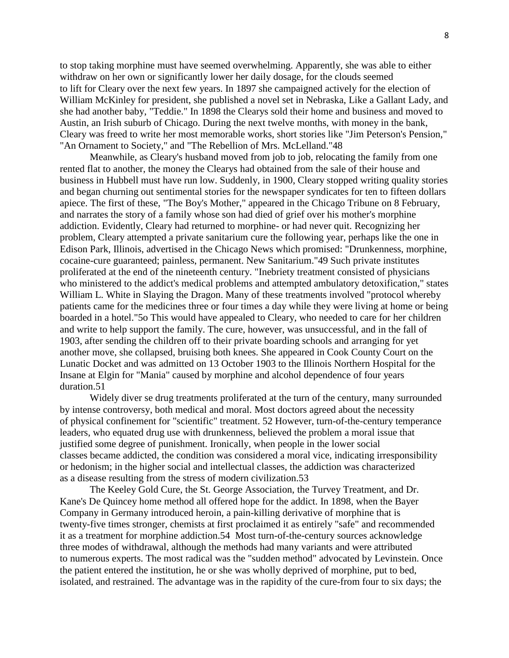to stop taking morphine must have seemed overwhelming. Apparently, she was able to either withdraw on her own or significantly lower her daily dosage, for the clouds seemed to lift for Cleary over the next few years. In 1897 she campaigned actively for the election of William McKinley for president, she published a novel set in Nebraska, Like a Gallant Lady, and she had another baby, "Teddie." In 1898 the Clearys sold their home and business and moved to Austin, an Irish suburb of Chicago. During the next twelve months, with money in the bank, Cleary was freed to write her most memorable works, short stories like "Jim Peterson's Pension," "An Ornament to Society," and "The Rebellion of Mrs. McLelland."48

Meanwhile, as Cleary's husband moved from job to job, relocating the family from one rented flat to another, the money the Clearys had obtained from the sale of their house and business in Hubbell must have run low. Suddenly, in 1900, Cleary stopped writing quality stories and began churning out sentimental stories for the newspaper syndicates for ten to fifteen dollars apiece. The first of these, "The Boy's Mother," appeared in the Chicago Tribune on 8 February, and narrates the story of a family whose son had died of grief over his mother's morphine addiction. Evidently, Cleary had returned to morphine- or had never quit. Recognizing her problem, Cleary attempted a private sanitarium cure the following year, perhaps like the one in Edison Park, Illinois, advertised in the Chicago News which promised: "Drunkenness, morphine, cocaine-cure guaranteed; painless, permanent. New Sanitarium."49 Such private institutes proliferated at the end of the nineteenth century. "Inebriety treatment consisted of physicians who ministered to the addict's medical problems and attempted ambulatory detoxification," states William L. White in Slaying the Dragon. Many of these treatments involved "protocol whereby patients came for the medicines three or four times a day while they were living at home or being boarded in a hotel."5o This would have appealed to Cleary, who needed to care for her children and write to help support the family. The cure, however, was unsuccessful, and in the fall of 1903, after sending the children off to their private boarding schools and arranging for yet another move, she collapsed, bruising both knees. She appeared in Cook County Court on the Lunatic Docket and was admitted on 13 October 1903 to the Illinois Northern Hospital for the Insane at Elgin for "Mania" caused by morphine and alcohol dependence of four years duration.51

Widely diver se drug treatments proliferated at the turn of the century, many surrounded by intense controversy, both medical and moral. Most doctors agreed about the necessity of physical confinement for "scientific" treatment. 52 However, turn-of-the-century temperance leaders, who equated drug use with drunkenness, believed the problem a moral issue that justified some degree of punishment. Ironically, when people in the lower social classes became addicted, the condition was considered a moral vice, indicating irresponsibility or hedonism; in the higher social and intellectual classes, the addiction was characterized as a disease resulting from the stress of modern civilization.53

The Keeley Gold Cure, the St. George Association, the Turvey Treatment, and Dr. Kane's De Quincey home method all offered hope for the addict. In 1898, when the Bayer Company in Germany introduced heroin, a pain-killing derivative of morphine that is twenty-five times stronger, chemists at first proclaimed it as entirely "safe" and recommended it as a treatment for morphine addiction.54 Most turn-of-the-century sources acknowledge three modes of withdrawal, although the methods had many variants and were attributed to numerous experts. The most radical was the "sudden method" advocated by Levinstein. Once the patient entered the institution, he or she was wholly deprived of morphine, put to bed, isolated, and restrained. The advantage was in the rapidity of the cure-from four to six days; the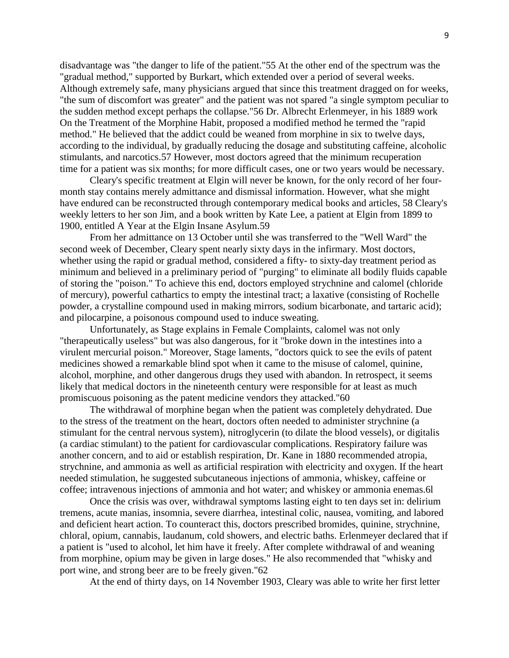disadvantage was "the danger to life of the patient."55 At the other end of the spectrum was the "gradual method," supported by Burkart, which extended over a period of several weeks. Although extremely safe, many physicians argued that since this treatment dragged on for weeks, "the sum of discomfort was greater" and the patient was not spared "a single symptom peculiar to the sudden method except perhaps the collapse."56 Dr. Albrecht Erlenmeyer, in his 1889 work On the Treatment of the Morphine Habit, proposed a modified method he termed the "rapid method." He believed that the addict could be weaned from morphine in six to twelve days, according to the individual, by gradually reducing the dosage and substituting caffeine, alcoholic stimulants, and narcotics.57 However, most doctors agreed that the minimum recuperation time for a patient was six months; for more difficult cases, one or two years would be necessary.

Cleary's specific treatment at Elgin will never be known, for the only record of her fourmonth stay contains merely admittance and dismissal information. However, what she might have endured can be reconstructed through contemporary medical books and articles, 58 Cleary's weekly letters to her son Jim, and a book written by Kate Lee, a patient at Elgin from 1899 to 1900, entitled A Year at the Elgin Insane Asylum.59

From her admittance on 13 October until she was transferred to the "Well Ward" the second week of December, Cleary spent nearly sixty days in the infirmary. Most doctors, whether using the rapid or gradual method, considered a fifty- to sixty-day treatment period as minimum and believed in a preliminary period of "purging" to eliminate all bodily fluids capable of storing the "poison." To achieve this end, doctors employed strychnine and calomel (chloride of mercury), powerful cathartics to empty the intestinal tract; a laxative (consisting of Rochelle powder, a crystalline compound used in making mirrors, sodium bicarbonate, and tartaric acid); and pilocarpine, a poisonous compound used to induce sweating.

Unfortunately, as Stage explains in Female Complaints, calomel was not only "therapeutically useless" but was also dangerous, for it "broke down in the intestines into a virulent mercurial poison." Moreover, Stage laments, "doctors quick to see the evils of patent medicines showed a remarkable blind spot when it came to the misuse of calomel, quinine, alcohol, morphine, and other dangerous drugs they used with abandon. In retrospect, it seems likely that medical doctors in the nineteenth century were responsible for at least as much promiscuous poisoning as the patent medicine vendors they attacked."60

The withdrawal of morphine began when the patient was completely dehydrated. Due to the stress of the treatment on the heart, doctors often needed to administer strychnine (a stimulant for the central nervous system), nitroglycerin (to dilate the blood vessels), or digitalis (a cardiac stimulant) to the patient for cardiovascular complications. Respiratory failure was another concern, and to aid or establish respiration, Dr. Kane in 1880 recommended atropia, strychnine, and ammonia as well as artificial respiration with electricity and oxygen. If the heart needed stimulation, he suggested subcutaneous injections of ammonia, whiskey, caffeine or coffee; intravenous injections of ammonia and hot water; and whiskey or ammonia enemas.6l

Once the crisis was over, withdrawal symptoms lasting eight to ten days set in: delirium tremens, acute manias, insomnia, severe diarrhea, intestinal colic, nausea, vomiting, and labored and deficient heart action. To counteract this, doctors prescribed bromides, quinine, strychnine, chloral, opium, cannabis, laudanum, cold showers, and electric baths. Erlenmeyer declared that if a patient is "used to alcohol, let him have it freely. After complete withdrawal of and weaning from morphine, opium may be given in large doses." He also recommended that "whisky and port wine, and strong beer are to be freely given."62

At the end of thirty days, on 14 November 1903, Cleary was able to write her first letter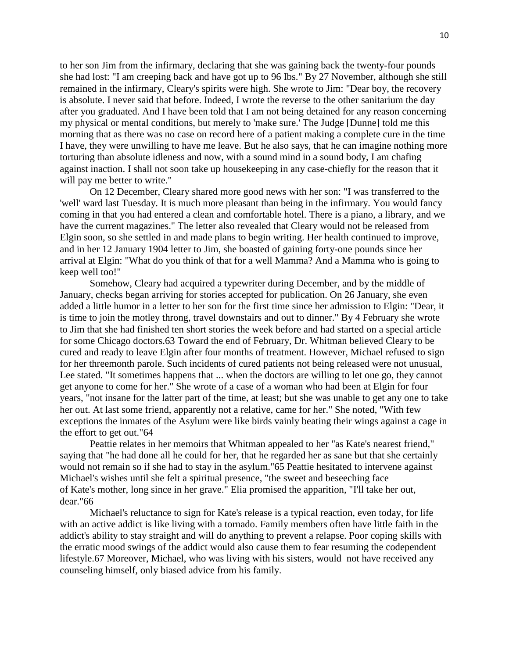to her son Jim from the infirmary, declaring that she was gaining back the twenty-four pounds she had lost: "I am creeping back and have got up to 96 Ibs." By 27 November, although she still remained in the infirmary, Cleary's spirits were high. She wrote to Jim: "Dear boy, the recovery is absolute. I never said that before. Indeed, I wrote the reverse to the other sanitarium the day after you graduated. And I have been told that I am not being detained for any reason concerning my physical or mental conditions, but merely to 'make sure.' The Judge [Dunne] told me this morning that as there was no case on record here of a patient making a complete cure in the time I have, they were unwilling to have me leave. But he also says, that he can imagine nothing more torturing than absolute idleness and now, with a sound mind in a sound body, I am chafing against inaction. I shall not soon take up housekeeping in any case-chiefly for the reason that it will pay me better to write."

On 12 December, Cleary shared more good news with her son: "I was transferred to the 'well' ward last Tuesday. It is much more pleasant than being in the infirmary. You would fancy coming in that you had entered a clean and comfortable hotel. There is a piano, a library, and we have the current magazines." The letter also revealed that Cleary would not be released from Elgin soon, so she settled in and made plans to begin writing. Her health continued to improve, and in her 12 January 1904 letter to Jim, she boasted of gaining forty-one pounds since her arrival at Elgin: "What do you think of that for a well Mamma? And a Mamma who is going to keep well too!"

Somehow, Cleary had acquired a typewriter during December, and by the middle of January, checks began arriving for stories accepted for publication. On 26 January, she even added a little humor in a letter to her son for the first time since her admission to Elgin: "Dear, it is time to join the motley throng, travel downstairs and out to dinner." By 4 February she wrote to Jim that she had finished ten short stories the week before and had started on a special article for some Chicago doctors.63 Toward the end of February, Dr. Whitman believed Cleary to be cured and ready to leave Elgin after four months of treatment. However, Michael refused to sign for her threemonth parole. Such incidents of cured patients not being released were not unusual, Lee stated. "It sometimes happens that ... when the doctors are willing to let one go, they cannot get anyone to come for her." She wrote of a case of a woman who had been at Elgin for four years, "not insane for the latter part of the time, at least; but she was unable to get any one to take her out. At last some friend, apparently not a relative, came for her." She noted, "With few exceptions the inmates of the Asylum were like birds vainly beating their wings against a cage in the effort to get out."64

Peattie relates in her memoirs that Whitman appealed to her "as Kate's nearest friend," saying that "he had done all he could for her, that he regarded her as sane but that she certainly would not remain so if she had to stay in the asylum."65 Peattie hesitated to intervene against Michael's wishes until she felt a spiritual presence, "the sweet and beseeching face of Kate's mother, long since in her grave." Elia promised the apparition, "I'll take her out, dear."66

Michael's reluctance to sign for Kate's release is a typical reaction, even today, for life with an active addict is like living with a tornado. Family members often have little faith in the addict's ability to stay straight and will do anything to prevent a relapse. Poor coping skills with the erratic mood swings of the addict would also cause them to fear resuming the codependent lifestyle.67 Moreover, Michael, who was living with his sisters, would not have received any counseling himself, only biased advice from his family.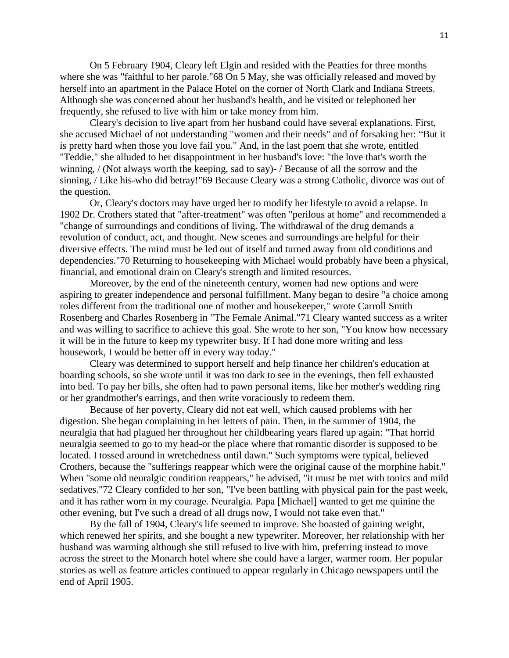On 5 February 1904, Cleary left Elgin and resided with the Peatties for three months where she was "faithful to her parole."68 On 5 May, she was officially released and moved by herself into an apartment in the Palace Hotel on the corner of North Clark and Indiana Streets. Although she was concerned about her husband's health, and he visited or telephoned her frequently, she refused to live with him or take money from him.

Cleary's decision to live apart from her husband could have several explanations. First, she accused Michael of not understanding "women and their needs" and of forsaking her: "But it is pretty hard when those you love fail you." And, in the last poem that she wrote, entitled "Teddie," she alluded to her disappointment in her husband's love: "the love that's worth the winning, / (Not always worth the keeping, sad to say)- / Because of all the sorrow and the sinning, / Like his-who did betray!"69 Because Cleary was a strong Catholic, divorce was out of the question.

Or, Cleary's doctors may have urged her to modify her lifestyle to avoid a relapse. In 1902 Dr. Crothers stated that "after-treatment" was often "perilous at home" and recommended a "change of surroundings and conditions of living. The withdrawal of the drug demands a revolution of conduct, act, and thought. New scenes and surroundings are helpful for their diversive effects. The mind must be led out of itself and turned away from old conditions and dependencies."70 Returning to housekeeping with Michael would probably have been a physical, financial, and emotional drain on Cleary's strength and limited resources.

Moreover, by the end of the nineteenth century, women had new options and were aspiring to greater independence and personal fulfillment. Many began to desire "a choice among roles different from the traditional one of mother and housekeeper," wrote Carroll Smith Rosenberg and Charles Rosenberg in "The Female Animal."71 Cleary wanted success as a writer and was willing to sacrifice to achieve this goal. She wrote to her son, "You know how necessary it will be in the future to keep my typewriter busy. If I had done more writing and less housework, I would be better off in every way today."

Cleary was determined to support herself and help finance her children's education at boarding schools, so she wrote until it was too dark to see in the evenings, then fell exhausted into bed. To pay her bills, she often had to pawn personal items, like her mother's wedding ring or her grandmother's earrings, and then write voraciously to redeem them.

Because of her poverty, Cleary did not eat well, which caused problems with her digestion. She began complaining in her letters of pain. Then, in the summer of 1904, the neuralgia that had plagued her throughout her childbearing years flared up again: "That horrid neuralgia seemed to go to my head-or the place where that romantic disorder is supposed to be located. I tossed around in wretchedness until dawn." Such symptoms were typical, believed Crothers, because the "sufferings reappear which were the original cause of the morphine habit." When "some old neuralgic condition reappears," he advised, "it must be met with tonics and mild sedatives."72 Cleary confided to her son, "I've been battling with physical pain for the past week, and it has rather worn in my courage. Neuralgia. Papa [Michael] wanted to get me quinine the other evening, but I've such a dread of all drugs now, I would not take even that."

By the fall of 1904, Cleary's life seemed to improve. She boasted of gaining weight, which renewed her spirits, and she bought a new typewriter. Moreover, her relationship with her husband was warming although she still refused to live with him, preferring instead to move across the street to the Monarch hotel where she could have a larger, warmer room. Her popular stories as well as feature articles continued to appear regularly in Chicago newspapers until the end of April 1905.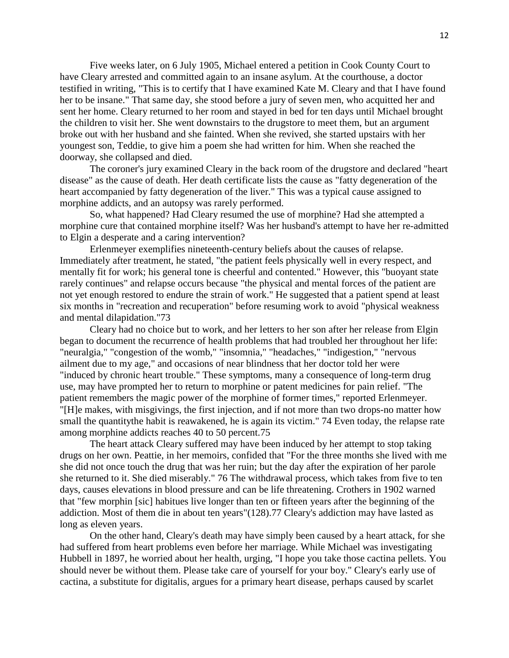Five weeks later, on 6 July 1905, Michael entered a petition in Cook County Court to have Cleary arrested and committed again to an insane asylum. At the courthouse, a doctor testified in writing, "This is to certify that I have examined Kate M. Cleary and that I have found her to be insane." That same day, she stood before a jury of seven men, who acquitted her and sent her home. Cleary returned to her room and stayed in bed for ten days until Michael brought the children to visit her. She went downstairs to the drugstore to meet them, but an argument broke out with her husband and she fainted. When she revived, she started upstairs with her youngest son, Teddie, to give him a poem she had written for him. When she reached the doorway, she collapsed and died.

The coroner's jury examined Cleary in the back room of the drugstore and declared "heart disease" as the cause of death. Her death certificate lists the cause as "fatty degeneration of the heart accompanied by fatty degeneration of the liver." This was a typical cause assigned to morphine addicts, and an autopsy was rarely performed.

So, what happened? Had Cleary resumed the use of morphine? Had she attempted a morphine cure that contained morphine itself? Was her husband's attempt to have her re-admitted to Elgin a desperate and a caring intervention?

Erlenmeyer exemplifies nineteenth-century beliefs about the causes of relapse. Immediately after treatment, he stated, "the patient feels physically well in every respect, and mentally fit for work; his general tone is cheerful and contented." However, this "buoyant state rarely continues" and relapse occurs because "the physical and mental forces of the patient are not yet enough restored to endure the strain of work." He suggested that a patient spend at least six months in "recreation and recuperation" before resuming work to avoid "physical weakness and mental dilapidation."73

Cleary had no choice but to work, and her letters to her son after her release from Elgin began to document the recurrence of health problems that had troubled her throughout her life: "neuralgia," "congestion of the womb," "insomnia," "headaches," "indigestion," "nervous ailment due to my age," and occasions of near blindness that her doctor told her were "induced by chronic heart trouble." These symptoms, many a consequence of long-term drug use, may have prompted her to return to morphine or patent medicines for pain relief. "The patient remembers the magic power of the morphine of former times," reported Erlenmeyer. "[H]e makes, with misgivings, the first injection, and if not more than two drops-no matter how small the quantitythe habit is reawakened, he is again its victim." 74 Even today, the relapse rate among morphine addicts reaches 40 to 50 percent.75

The heart attack Cleary suffered may have been induced by her attempt to stop taking drugs on her own. Peattie, in her memoirs, confided that "For the three months she lived with me she did not once touch the drug that was her ruin; but the day after the expiration of her parole she returned to it. She died miserably." 76 The withdrawal process, which takes from five to ten days, causes elevations in blood pressure and can be life threatening. Crothers in 1902 warned that "few morphin [sic] habitues live longer than ten or fifteen years after the beginning of the addiction. Most of them die in about ten years"(128).77 Cleary's addiction may have lasted as long as eleven years.

On the other hand, Cleary's death may have simply been caused by a heart attack, for she had suffered from heart problems even before her marriage. While Michael was investigating Hubbell in 1897, he worried about her health, urging, "I hope you take those cactina pellets. You should never be without them. Please take care of yourself for your boy." Cleary's early use of cactina, a substitute for digitalis, argues for a primary heart disease, perhaps caused by scarlet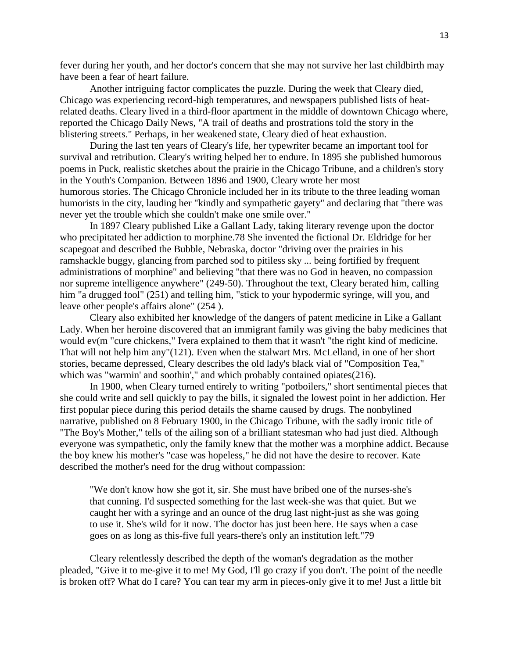fever during her youth, and her doctor's concern that she may not survive her last childbirth may have been a fear of heart failure.

Another intriguing factor complicates the puzzle. During the week that Cleary died, Chicago was experiencing record-high temperatures, and newspapers published lists of heatrelated deaths. Cleary lived in a third-floor apartment in the middle of downtown Chicago where, reported the Chicago Daily News, "A trail of deaths and prostrations told the story in the blistering streets." Perhaps, in her weakened state, Cleary died of heat exhaustion.

During the last ten years of Cleary's life, her typewriter became an important tool for survival and retribution. Cleary's writing helped her to endure. In 1895 she published humorous poems in Puck, realistic sketches about the prairie in the Chicago Tribune, and a children's story in the Youth's Companion. Between 1896 and 1900, Cleary wrote her most humorous stories. The Chicago Chronicle included her in its tribute to the three leading woman humorists in the city, lauding her "kindly and sympathetic gayety" and declaring that "there was never yet the trouble which she couldn't make one smile over."

In 1897 Cleary published Like a Gallant Lady, taking literary revenge upon the doctor who precipitated her addiction to morphine.78 She invented the fictional Dr. Eldridge for her scapegoat and described the Bubble, Nebraska, doctor "driving over the prairies in his ramshackle buggy, glancing from parched sod to pitiless sky ... being fortified by frequent administrations of morphine" and believing "that there was no God in heaven, no compassion nor supreme intelligence anywhere" (249-50). Throughout the text, Cleary berated him, calling him "a drugged fool" (251) and telling him, "stick to your hypodermic syringe, will you, and leave other people's affairs alone" (254 ).

Cleary also exhibited her knowledge of the dangers of patent medicine in Like a Gallant Lady. When her heroine discovered that an immigrant family was giving the baby medicines that would ev(m "cure chickens," Ivera explained to them that it wasn't "the right kind of medicine. That will not help him any"(121). Even when the stalwart Mrs. McLelland, in one of her short stories, became depressed, Cleary describes the old lady's black vial of "Composition Tea," which was "warmin' and soothin'," and which probably contained opiates(216).

In 1900, when Cleary turned entirely to writing "potboilers," short sentimental pieces that she could write and sell quickly to pay the bills, it signaled the lowest point in her addiction. Her first popular piece during this period details the shame caused by drugs. The nonbylined narrative, published on 8 February 1900, in the Chicago Tribune, with the sadly ironic title of "The Boy's Mother," tells of the ailing son of a brilliant statesman who had just died. Although everyone was sympathetic, only the family knew that the mother was a morphine addict. Because the boy knew his mother's "case was hopeless," he did not have the desire to recover. Kate described the mother's need for the drug without compassion:

"We don't know how she got it, sir. She must have bribed one of the nurses-she's that cunning. I'd suspected something for the last week-she was that quiet. But we caught her with a syringe and an ounce of the drug last night-just as she was going to use it. She's wild for it now. The doctor has just been here. He says when a case goes on as long as this-five full years-there's only an institution left."79

Cleary relentlessly described the depth of the woman's degradation as the mother pleaded, "Give it to me-give it to me! My God, I'll go crazy if you don't. The point of the needle is broken off? What do I care? You can tear my arm in pieces-only give it to me! Just a little bit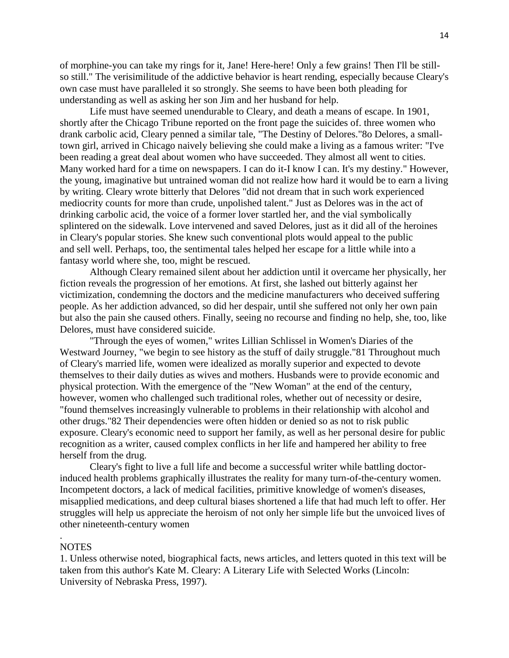of morphine-you can take my rings for it, Jane! Here-here! Only a few grains! Then I'll be stillso still." The verisimilitude of the addictive behavior is heart rending, especially because Cleary's own case must have paralleled it so strongly. She seems to have been both pleading for understanding as well as asking her son Jim and her husband for help.

Life must have seemed unendurable to Cleary, and death a means of escape. In 1901, shortly after the Chicago Tribune reported on the front page the suicides of. three women who drank carbolic acid, Cleary penned a similar tale, "The Destiny of Delores."8o Delores, a smalltown girl, arrived in Chicago naively believing she could make a living as a famous writer: "I've been reading a great deal about women who have succeeded. They almost all went to cities. Many worked hard for a time on newspapers. I can do it-I know I can. It's my destiny." However, the young, imaginative but untrained woman did not realize how hard it would be to earn a living by writing. Cleary wrote bitterly that Delores "did not dream that in such work experienced mediocrity counts for more than crude, unpolished talent." Just as Delores was in the act of drinking carbolic acid, the voice of a former lover startled her, and the vial symbolically splintered on the sidewalk. Love intervened and saved Delores, just as it did all of the heroines in Cleary's popular stories. She knew such conventional plots would appeal to the public and sell well. Perhaps, too, the sentimental tales helped her escape for a little while into a fantasy world where she, too, might be rescued.

Although Cleary remained silent about her addiction until it overcame her physically, her fiction reveals the progression of her emotions. At first, she lashed out bitterly against her victimization, condemning the doctors and the medicine manufacturers who deceived suffering people. As her addiction advanced, so did her despair, until she suffered not only her own pain but also the pain she caused others. Finally, seeing no recourse and finding no help, she, too, like Delores, must have considered suicide.

"Through the eyes of women," writes Lillian Schlissel in Women's Diaries of the Westward Journey, "we begin to see history as the stuff of daily struggle."81 Throughout much of Cleary's married life, women were idealized as morally superior and expected to devote themselves to their daily duties as wives and mothers. Husbands were to provide economic and physical protection. With the emergence of the "New Woman" at the end of the century, however, women who challenged such traditional roles, whether out of necessity or desire, "found themselves increasingly vulnerable to problems in their relationship with alcohol and other drugs."82 Their dependencies were often hidden or denied so as not to risk public exposure. Cleary's economic need to support her family, as well as her personal desire for public recognition as a writer, caused complex conflicts in her life and hampered her ability to free herself from the drug.

Cleary's fight to live a full life and become a successful writer while battling doctorinduced health problems graphically illustrates the reality for many turn-of-the-century women. Incompetent doctors, a lack of medical facilities, primitive knowledge of women's diseases, misapplied medications, and deep cultural biases shortened a life that had much left to offer. Her struggles will help us appreciate the heroism of not only her simple life but the unvoiced lives of other nineteenth-century women

## **NOTES**

.

1. Unless otherwise noted, biographical facts, news articles, and letters quoted in this text will be taken from this author's Kate M. Cleary: A Literary Life with Selected Works (Lincoln: University of Nebraska Press, 1997).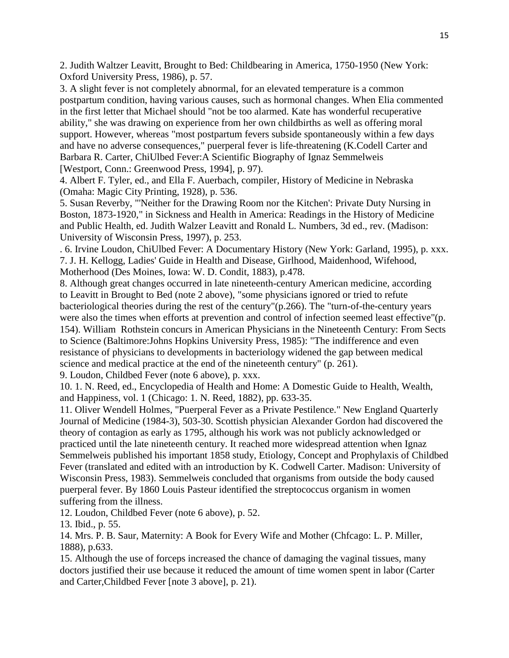2. Judith Waltzer Leavitt, Brought to Bed: Childbearing in America, 1750-1950 (New York: Oxford University Press, 1986), p. 57.

3. A slight fever is not completely abnormal, for an elevated temperature is a common postpartum condition, having various causes, such as hormonal changes. When Elia commented in the first letter that Michael should "not be too alarmed. Kate has wonderful recuperative ability," she was drawing on experience from her own childbirths as well as offering moral support. However, whereas "most postpartum fevers subside spontaneously within a few days and have no adverse consequences," puerperal fever is life-threatening (K.Codell Carter and Barbara R. Carter, ChiUlbed Fever:A Scientific Biography of Ignaz Semmelweis [Westport, Conn.: Greenwood Press, 1994], p. 97).

4. Albert F. Tyler, ed., and Ella F. Auerbach, compiler, History of Medicine in Nebraska (Omaha: Magic City Printing, 1928), p. 536.

5. Susan Reverby, "'Neither for the Drawing Room nor the Kitchen': Private Duty Nursing in Boston, 1873-1920," in Sickness and Health in America: Readings in the History of Medicine and Public Health, ed. Judith Walzer Leavitt and Ronald L. Numbers, 3d ed., rev. (Madison: University of Wisconsin Press, 1997), p. 253.

. 6. Irvine Loudon, ChiUlbed Fever: A Documentary History (New York: Garland, 1995), p. xxx. 7. J. H. Kellogg, Ladies' Guide in Health and Disease, Girlhood, Maidenhood, Wifehood, Motherhood (Des Moines, Iowa: W. D. Condit, 1883), p.478.

8. Although great changes occurred in late nineteenth-century American medicine, according to Leavitt in Brought to Bed (note 2 above), "some physicians ignored or tried to refute bacteriological theories during the rest of the century"(p.266). The "turn-of-the-century years were also the times when efforts at prevention and control of infection seemed least effective"(p. 154). William Rothstein concurs in American Physicians in the Nineteenth Century: From Sects to Science (Baltimore:Johns Hopkins University Press, 1985): "The indifference and even resistance of physicians to developments in bacteriology widened the gap between medical science and medical practice at the end of the nineteenth century" (p. 261).

9. Loudon, Childbed Fever (note 6 above), p. xxx.

10. 1. N. Reed, ed., Encyclopedia of Health and Home: A Domestic Guide to Health, Wealth, and Happiness, vol. 1 (Chicago: 1. N. Reed, 1882), pp. 633-35.

11. Oliver Wendell Holmes, "Puerperal Fever as a Private Pestilence." New England Quarterly Journal of Medicine (1984-3), 503-30. Scottish physician Alexander Gordon had discovered the theory of contagion as early as 1795, although his work was not publicly acknowledged or practiced until the late nineteenth century. It reached more widespread attention when Ignaz Semmelweis published his important 1858 study, Etiology, Concept and Prophylaxis of Childbed Fever (translated and edited with an introduction by K. Codwell Carter. Madison: University of Wisconsin Press, 1983). Semmelweis concluded that organisms from outside the body caused puerperal fever. By 1860 Louis Pasteur identified the streptococcus organism in women suffering from the illness.

12. Loudon, Childbed Fever (note 6 above), p. 52.

13. Ibid., p. 55.

14. Mrs. P. B. Saur, Maternity: A Book for Every Wife and Mother (Chfcago: L. P. Miller, 1888), p.633.

15. Although the use of forceps increased the chance of damaging the vaginal tissues, many doctors justified their use because it reduced the amount of time women spent in labor (Carter and Carter,Childbed Fever [note 3 above], p. 21).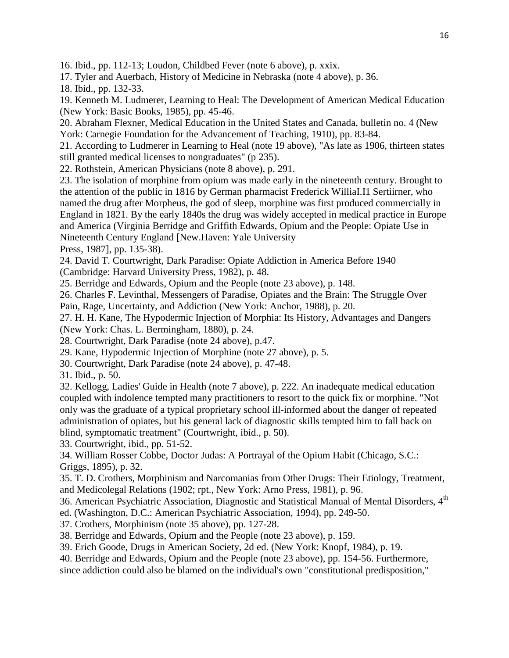16. Ibid., pp. 112-13; Loudon, Childbed Fever (note 6 above), p. xxix.

17. Tyler and Auerbach, History of Medicine in Nebraska (note 4 above), p. 36.

18. Ibid., pp. 132-33.

19. Kenneth M. Ludmerer, Learning to Heal: The Development of American Medical Education (New York: Basic Books, 1985), pp. 45-46.

20. Abraham Flexner, Medical Education in the United States and Canada, bulletin no. 4 (New York: Carnegie Foundation for the Advancement of Teaching, 1910), pp. 83-84.

21. According to Ludmerer in Learning to Heal (note 19 above), "As late as 1906, thirteen states still granted medical licenses to nongraduates" (p 235).

22. Rothstein, American Physicians (note 8 above), p. 291.

23. The isolation of morphine from opium was made early in the nineteenth century. Brought to the attention of the public in 1816 by German pharmacist Frederick WilliaI.I1 Sertiirner, who named the drug after Morpheus, the god of sleep, morphine was first produced commercially in England in 1821. By the early 1840s the drug was widely accepted in medical practice in Europe and America (Virginia Berridge and Griffith Edwards, Opium and the People: Opiate Use in Nineteenth Century England [New.Haven: Yale University

Press, 1987], pp. 135-38).

24. David T. Courtwright, Dark Paradise: Opiate Addiction in America Before 1940

(Cambridge: Harvard University Press, 1982), p. 48.

25. Berridge and Edwards, Opium and the People (note 23 above), p. 148.

26. Charles F. Levinthal, Messengers of Paradise, Opiates and the Brain: The Struggle Over

Pain, Rage, Uncertainty, and Addiction (New York: Anchor, 1988), p. 20.

27. H. H. Kane, The Hypodermic Injection of Morphia: Its History, Advantages and Dangers (New York: Chas. L. Bermingham, 1880), p. 24.

28. Courtwright, Dark Paradise (note 24 above), p.47.

29. Kane, Hypodermic Injection of Morphine (note 27 above), p. 5.

30. Courtwright, Dark Paradise (note 24 above), p. 47-48.

31. Ibid., p. 50.

32. Kellogg, Ladies' Guide in Health (note 7 above), p. 222. An inadequate medical education coupled with indolence tempted many practitioners to resort to the quick fix or morphine. "Not only was the graduate of a typical proprietary school ill-informed about the danger of repeated administration of opiates, but his general lack of diagnostic skills tempted him to fall back on blind, symptomatic treatment" (Courtwright, ibid., p. 50).

33. Courtwright, ibid., pp. 51-52.

34. William Rosser Cobbe, Doctor Judas: A Portrayal of the Opium Habit (Chicago, S.C.: Griggs, 1895), p. 32.

35. T. D. Crothers, Morphinism and Narcomanias from Other Drugs: Their Etiology, Treatment, and Medicolegal Relations (1902; rpt., New York: Arno Press, 1981), p. 96.

36. American Psychiatric Association, Diagnostic and Statistical Manual of Mental Disorders, 4<sup>th</sup>

ed. (Washington, D.C.: American Psychiatric Association, 1994), pp. 249-50.

37. Crothers, Morphinism (note 35 above), pp. 127-28.

38. Berridge and Edwards, Opium and the People (note 23 above), p. 159.

39. Erich Goode, Drugs in American Society, 2d ed. (New York: Knopf, 1984), p. 19.

40. Berridge and Edwards, Opium and the People (note 23 above), pp. 154-56. Furthermore, since addiction could also be blamed on the individual's own "constitutional predisposition,"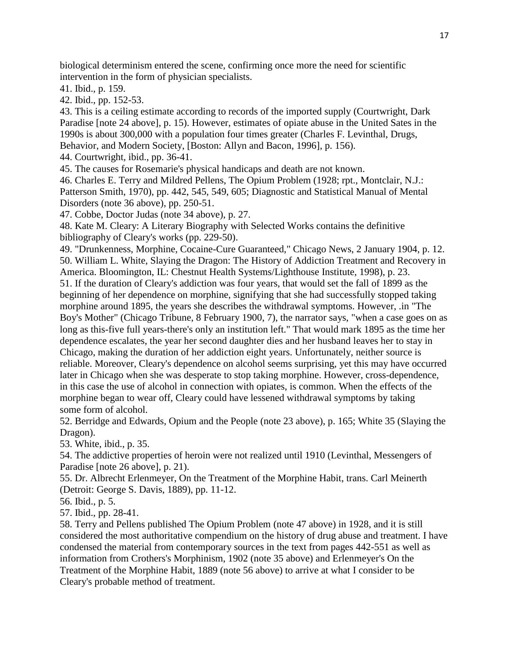biological determinism entered the scene, confirming once more the need for scientific intervention in the form of physician specialists.

41. Ibid., p. 159.

42. Ibid., pp. 152-53.

43. This is a ceiling estimate according to records of the imported supply (Courtwright, Dark Paradise [note 24 above], p. 15). However, estimates of opiate abuse in the United Sates in the 1990s is about 300,000 with a population four times greater (Charles F. Levinthal, Drugs, Behavior, and Modern Society, [Boston: Allyn and Bacon, 1996], p. 156).

44. Courtwright, ibid., pp. 36-41.

45. The causes for Rosemarie's physical handicaps and death are not known.

46. Charles E. Terry and Mildred Pellens, The Opium Problem (1928; rpt., Montclair, N.J.: Patterson Smith, 1970), pp. 442, 545, 549, 605; Diagnostic and Statistical Manual of Mental Disorders (note 36 above), pp. 250-51.

47. Cobbe, Doctor Judas (note 34 above), p. 27.

48. Kate M. Cleary: A Literary Biography with Selected Works contains the definitive bibliography of Cleary's works (pp. 229-50).

49. "Drunkenness, Morphine, Cocaine-Cure Guaranteed," Chicago News, 2 January 1904, p. 12. 50. William L. White, Slaying the Dragon: The History of Addiction Treatment and Recovery in America. Bloomington, IL: Chestnut Health Systems/Lighthouse Institute, 1998), p. 23. 51. If the duration of Cleary's addiction was four years, that would set the fall of 1899 as the beginning of her dependence on morphine, signifying that she had successfully stopped taking morphine around 1895, the years she describes the withdrawal symptoms. However, .in "The Boy's Mother" (Chicago Tribune, 8 February 1900, 7), the narrator says, "when a case goes on as long as this-five full years-there's only an institution left." That would mark 1895 as the time her dependence escalates, the year her second daughter dies and her husband leaves her to stay in Chicago, making the duration of her addiction eight years. Unfortunately, neither source is reliable. Moreover, Cleary's dependence on alcohol seems surprising, yet this may have occurred later in Chicago when she was desperate to stop taking morphine. However, cross-dependence, in this case the use of alcohol in connection with opiates, is common. When the effects of the morphine began to wear off, Cleary could have lessened withdrawal symptoms by taking some form of alcohol.

52. Berridge and Edwards, Opium and the People (note 23 above), p. 165; White 35 (Slaying the Dragon).

53. White, ibid., p. 35.

54. The addictive properties of heroin were not realized until 1910 (Levinthal, Messengers of Paradise [note 26 above], p. 21).

55. Dr. Albrecht Erlenmeyer, On the Treatment of the Morphine Habit, trans. Carl Meinerth (Detroit: George S. Davis, 1889), pp. 11-12.

56. Ibid., p. 5.

57. Ibid., pp. 28-41.

58. Terry and Pellens published The Opium Problem (note 47 above) in 1928, and it is still considered the most authoritative compendium on the history of drug abuse and treatment. I have condensed the material from contemporary sources in the text from pages 442-551 as well as information from Crothers's Morphinism, 1902 (note 35 above) and Erlenmeyer's On the Treatment of the Morphine Habit, 1889 (note 56 above) to arrive at what I consider to be Cleary's probable method of treatment.